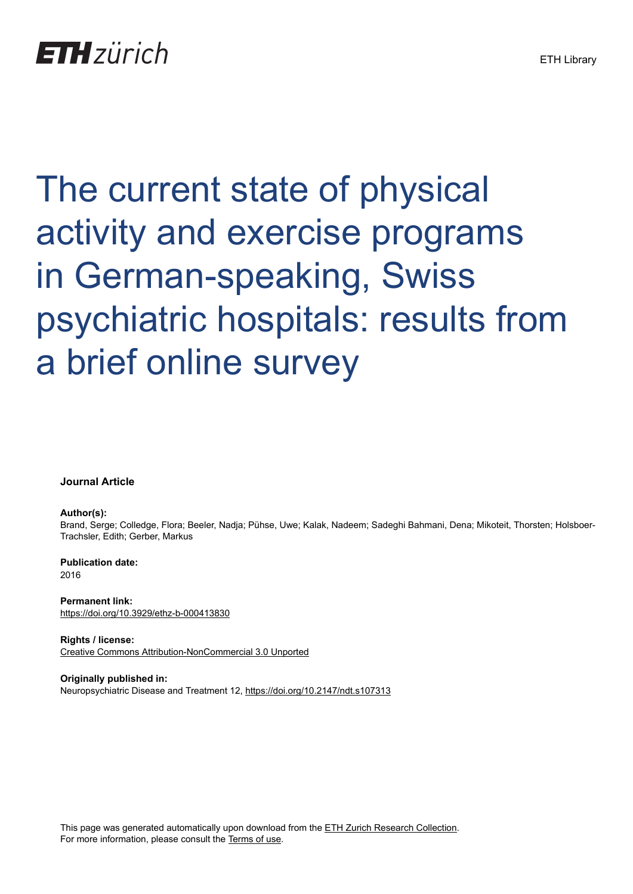# The current state of physical activity and exercise programs in German-speaking, Swiss psychiatric hospitals: results from a brief online survey

**Journal Article**

**Author(s):**

Brand, Serge; Colledge, Flora; Beeler, Nadja; Pühse, Uwe; Kalak, Nadeem; Sadeghi Bahmani, Dena; Mikoteit, Thorsten; Holsboer-Trachsler, Edith; Gerber, Markus

**Publication date:** 2016

**Permanent link:** <https://doi.org/10.3929/ethz-b-000413830>

**Rights / license:** [Creative Commons Attribution-NonCommercial 3.0 Unported](http://creativecommons.org/licenses/by-nc/3.0/)

**Originally published in:** Neuropsychiatric Disease and Treatment 12, <https://doi.org/10.2147/ndt.s107313>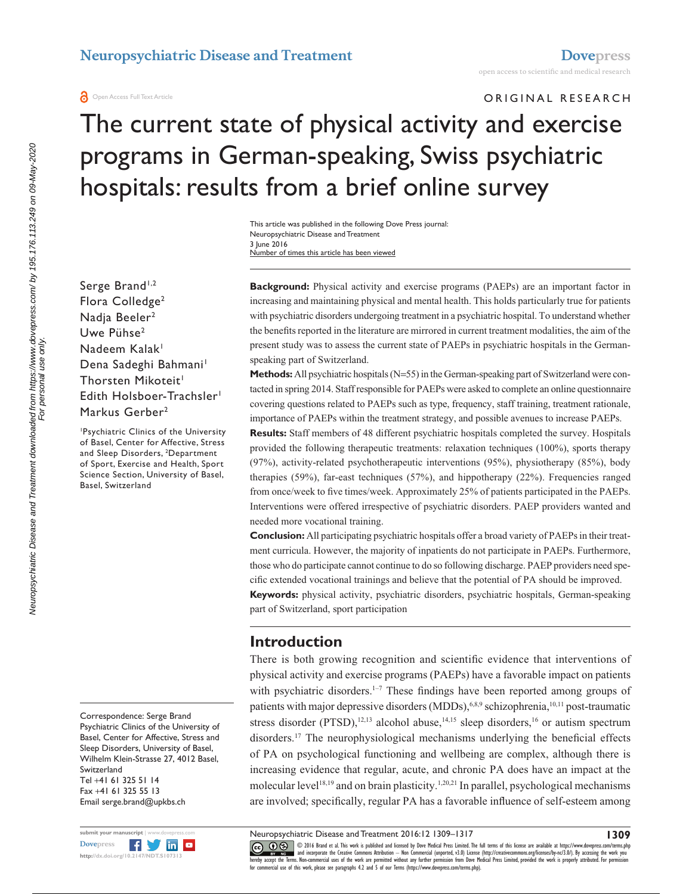**a** Open Access Full Text Article

ORIGINAL RESEARCH

# The current state of physical activity and exercise programs in German-speaking, Swiss psychiatric hospitals: results from a brief online survey

Number of times this article has been viewed This article was published in the following Dove Press journal: Neuropsychiatric Disease and Treatment 3 June 2016

Serge Brand<sup>1,2</sup> Flora Colledge<sup>2</sup> Nadja Beeler<sup>2</sup> Uwe Pühse<sup>2</sup> Nadeem Kalak<sup>1</sup> Dena Sadeghi Bahmani<sup>1</sup> Thorsten Mikoteit<sup>1</sup> Edith Holsboer-Trachsler<sup>1</sup> Markus Gerber2

1 Psychiatric Clinics of the University of Basel, Center for Affective, Stress and Sleep Disorders, 2 Department of Sport, Exercise and Health, Sport Science Section, University of Basel, Basel, Switzerland

Correspondence: Serge Brand Psychiatric Clinics of the University of Basel, Center for Affective, Stress and Sleep Disorders, University of Basel, Wilhelm Klein-Strasse 27, 4012 Basel, Switzerland Tel +41 61 325 51 14 Fax +41 61 325 55 13 Email [serge.brand@upkbs.ch](mailto:serge.brand@upkbs.ch)

**Background:** Physical activity and exercise programs (PAEPs) are an important factor in increasing and maintaining physical and mental health. This holds particularly true for patients with psychiatric disorders undergoing treatment in a psychiatric hospital. To understand whether the benefits reported in the literature are mirrored in current treatment modalities, the aim of the present study was to assess the current state of PAEPs in psychiatric hospitals in the Germanspeaking part of Switzerland.

**Methods:** All psychiatric hospitals (N=55) in the German-speaking part of Switzerland were contacted in spring 2014. Staff responsible for PAEPs were asked to complete an online questionnaire covering questions related to PAEPs such as type, frequency, staff training, treatment rationale, importance of PAEPs within the treatment strategy, and possible avenues to increase PAEPs.

**Results:** Staff members of 48 different psychiatric hospitals completed the survey. Hospitals provided the following therapeutic treatments: relaxation techniques (100%), sports therapy (97%), activity-related psychotherapeutic interventions (95%), physiotherapy (85%), body therapies (59%), far-east techniques (57%), and hippotherapy (22%). Frequencies ranged from once/week to five times/week. Approximately 25% of patients participated in the PAEPs. Interventions were offered irrespective of psychiatric disorders. PAEP providers wanted and needed more vocational training.

**Conclusion:** All participating psychiatric hospitals offer a broad variety of PAEPs in their treatment curricula. However, the majority of inpatients do not participate in PAEPs. Furthermore, those who do participate cannot continue to do so following discharge. PAEP providers need specific extended vocational trainings and believe that the potential of PA should be improved. **Keywords:** physical activity, psychiatric disorders, psychiatric hospitals, German-speaking part of Switzerland, sport participation

# **Introduction**

There is both growing recognition and scientific evidence that interventions of physical activity and exercise programs (PAEPs) have a favorable impact on patients with psychiatric disorders.<sup>1-7</sup> These findings have been reported among groups of patients with major depressive disorders (MDDs),<sup>6,8,9</sup> schizophrenia,<sup>10,11</sup> post-traumatic stress disorder (PTSD), $^{12,13}$  alcohol abuse, $^{14,15}$  sleep disorders, $^{16}$  or autism spectrum disorders.<sup>17</sup> The neurophysiological mechanisms underlying the beneficial effects of PA on psychological functioning and wellbeing are complex, although there is increasing evidence that regular, acute, and chronic PA does have an impact at the molecular level<sup>18,19</sup> and on brain plasticity.<sup>1,20,21</sup> In parallel, psychological mechanisms are involved; specifically, regular PA has a favorable influence of self-esteem among

Neuropsychiatric Disease and Treatment 2016:12 1309–1317

**1309**

CCC 1 © 2016 Brand et al. This work is published and licensed by Dove Medical Press Limited. The full terms of this license are available at <https://www.dovepress.com/terms.php><br>[hereby accept the Terms](http://www.dovepress.com/permissions.php). Non-commercial uses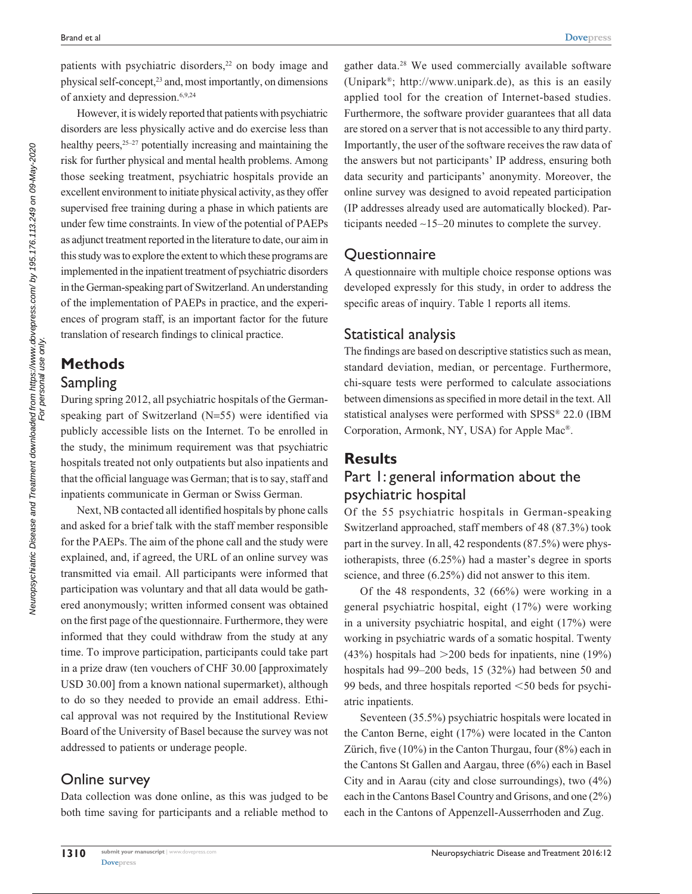patients with psychiatric disorders,<sup>22</sup> on body image and physical self-concept,23 and, most importantly, on dimensions of anxiety and depression.6,9,24

However, it is widely reported that patients with psychiatric disorders are less physically active and do exercise less than healthy peers, $25-27$  potentially increasing and maintaining the risk for further physical and mental health problems. Among those seeking treatment, psychiatric hospitals provide an excellent environment to initiate physical activity, as they offer supervised free training during a phase in which patients are under few time constraints. In view of the potential of PAEPs as adjunct treatment reported in the literature to date, our aim in this study was to explore the extent to which these programs are implemented in the inpatient treatment of psychiatric disorders in the German-speaking part of Switzerland. An understanding of the implementation of PAEPs in practice, and the experiences of program staff, is an important factor for the future translation of research findings to clinical practice.

# **Methods**

#### Sampling

During spring 2012, all psychiatric hospitals of the Germanspeaking part of Switzerland (N=55) were identified via publicly accessible lists on the Internet. To be enrolled in the study, the minimum requirement was that psychiatric hospitals treated not only outpatients but also inpatients and that the official language was German; that is to say, staff and inpatients communicate in German or Swiss German.

Next, NB contacted all identified hospitals by phone calls and asked for a brief talk with the staff member responsible for the PAEPs. The aim of the phone call and the study were explained, and, if agreed, the URL of an online survey was transmitted via email. All participants were informed that participation was voluntary and that all data would be gathered anonymously; written informed consent was obtained on the first page of the questionnaire. Furthermore, they were informed that they could withdraw from the study at any time. To improve participation, participants could take part in a prize draw (ten vouchers of CHF 30.00 [approximately USD 30.00] from a known national supermarket), although to do so they needed to provide an email address. Ethical approval was not required by the Institutional Review Board of the University of Basel because the survey was not addressed to patients or underage people.

#### Online survey

Data collection was done online, as this was judged to be both time saving for participants and a reliable method to

gather data.28 We used commercially available software (Unipark®; <http://www.unipark.de>), as this is an easily applied tool for the creation of Internet-based studies. Furthermore, the software provider guarantees that all data are stored on a server that is not accessible to any third party. Importantly, the user of the software receives the raw data of the answers but not participants' IP address, ensuring both data security and participants' anonymity. Moreover, the online survey was designed to avoid repeated participation (IP addresses already used are automatically blocked). Participants needed ~15–20 minutes to complete the survey.

### **Ouestionnaire**

A questionnaire with multiple choice response options was developed expressly for this study, in order to address the specific areas of inquiry. Table 1 reports all items.

#### Statistical analysis

The findings are based on descriptive statistics such as mean, standard deviation, median, or percentage. Furthermore, chi-square tests were performed to calculate associations between dimensions as specified in more detail in the text. All statistical analyses were performed with SPSS® 22.0 (IBM Corporation, Armonk, NY, USA) for Apple Mac®.

### **Results** Part 1: general information about the psychiatric hospital

Of the 55 psychiatric hospitals in German-speaking Switzerland approached, staff members of 48 (87.3%) took part in the survey. In all, 42 respondents (87.5%) were physiotherapists, three (6.25%) had a master's degree in sports science, and three (6.25%) did not answer to this item.

Of the 48 respondents, 32 (66%) were working in a general psychiatric hospital, eight (17%) were working in a university psychiatric hospital, and eight (17%) were working in psychiatric wards of a somatic hospital. Twenty (43%) hospitals had  $>$  200 beds for inpatients, nine (19%) hospitals had 99–200 beds, 15 (32%) had between 50 and 99 beds, and three hospitals reported  $<$  50 beds for psychiatric inpatients.

Seventeen (35.5%) psychiatric hospitals were located in the Canton Berne, eight (17%) were located in the Canton Zürich, five (10%) in the Canton Thurgau, four (8%) each in the Cantons St Gallen and Aargau, three (6%) each in Basel City and in Aarau (city and close surroundings), two (4%) each in the Cantons Basel Country and Grisons, and one (2%) each in the Cantons of Appenzell-Ausserrhoden and Zug.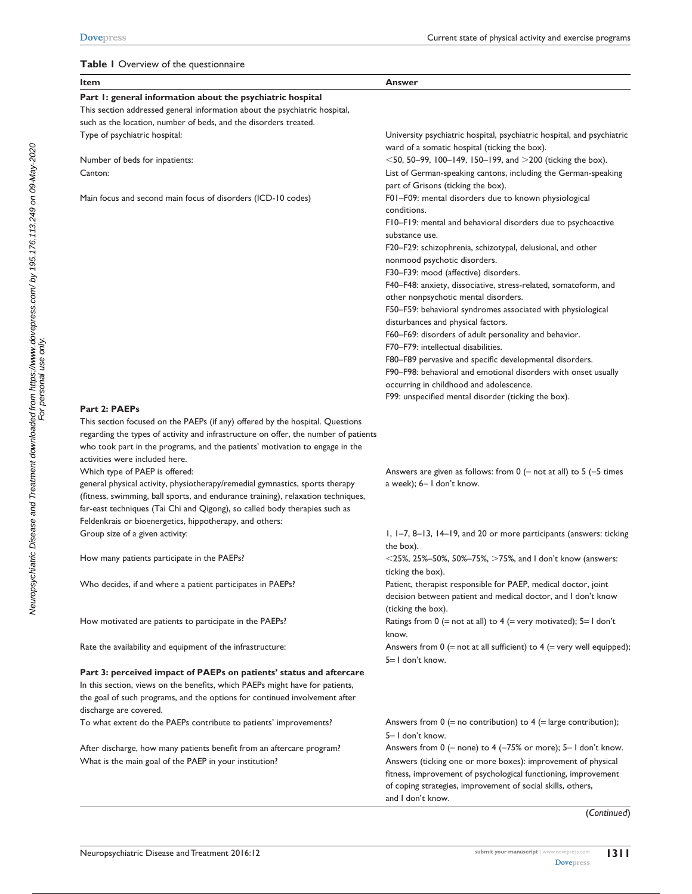#### **Table 1** Overview of the questionnaire

| Item                                                                                                           | <b>Answer</b>                                                                                                                   |
|----------------------------------------------------------------------------------------------------------------|---------------------------------------------------------------------------------------------------------------------------------|
| Part I: general information about the psychiatric hospital                                                     |                                                                                                                                 |
| This section addressed general information about the psychiatric hospital,                                     |                                                                                                                                 |
| such as the location, number of beds, and the disorders treated.                                               |                                                                                                                                 |
| Type of psychiatric hospital:                                                                                  | University psychiatric hospital, psychiatric hospital, and psychiatric<br>ward of a somatic hospital (ticking the box).         |
| Number of beds for inpatients:                                                                                 | <50, 50-99, 100-149, 150-199, and >200 (ticking the box).                                                                       |
| Canton:                                                                                                        | List of German-speaking cantons, including the German-speaking<br>part of Grisons (ticking the box).                            |
| Main focus and second main focus of disorders (ICD-10 codes)                                                   | F01-F09: mental disorders due to known physiological                                                                            |
|                                                                                                                | conditions.                                                                                                                     |
|                                                                                                                | F10–F19: mental and behavioral disorders due to psychoactive<br>substance use.                                                  |
|                                                                                                                | F20-F29: schizophrenia, schizotypal, delusional, and other                                                                      |
|                                                                                                                | nonmood psychotic disorders.                                                                                                    |
|                                                                                                                | F30-F39: mood (affective) disorders.                                                                                            |
|                                                                                                                | F40-F48: anxiety, dissociative, stress-related, somatoform, and                                                                 |
|                                                                                                                | other nonpsychotic mental disorders.                                                                                            |
|                                                                                                                | F50-F59: behavioral syndromes associated with physiological                                                                     |
|                                                                                                                | disturbances and physical factors.                                                                                              |
|                                                                                                                | F60-F69: disorders of adult personality and behavior.                                                                           |
|                                                                                                                | F70-F79: intellectual disabilities.                                                                                             |
|                                                                                                                | F80-F89 pervasive and specific developmental disorders.<br>F90-F98: behavioral and emotional disorders with onset usually       |
|                                                                                                                | occurring in childhood and adolescence.                                                                                         |
|                                                                                                                | F99: unspecified mental disorder (ticking the box).                                                                             |
| Part 2: PAEPs                                                                                                  |                                                                                                                                 |
| This section focused on the PAEPs (if any) offered by the hospital. Questions                                  |                                                                                                                                 |
| regarding the types of activity and infrastructure on offer, the number of patients                            |                                                                                                                                 |
| who took part in the programs, and the patients' motivation to engage in the                                   |                                                                                                                                 |
| activities were included here.                                                                                 |                                                                                                                                 |
| Which type of PAEP is offered:<br>general physical activity, physiotherapy/remedial gymnastics, sports therapy | Answers are given as follows: from $0$ (= not at all) to 5 (=5 times<br>a week); 6= I don't know.                               |
| (fitness, swimming, ball sports, and endurance training), relaxation techniques,                               |                                                                                                                                 |
| far-east techniques (Tai Chi and Qigong), so called body therapies such as                                     |                                                                                                                                 |
| Feldenkrais or bioenergetics, hippotherapy, and others:                                                        |                                                                                                                                 |
| Group size of a given activity:                                                                                | I, I-7, 8-13, I4-19, and 20 or more participants (answers: ticking                                                              |
|                                                                                                                | the box).                                                                                                                       |
| How many patients participate in the PAEPs?                                                                    | $<$ 25%, 25%–50%, 50%–75%, $>$ 75%, and I don't know (answers:                                                                  |
|                                                                                                                | ticking the box).                                                                                                               |
| Who decides, if and where a patient participates in PAEPs?                                                     | Patient, therapist responsible for PAEP, medical doctor, joint<br>decision between patient and medical doctor, and I don't know |
|                                                                                                                | (ticking the box).                                                                                                              |
| How motivated are patients to participate in the PAEPs?                                                        | Ratings from 0 (= not at all) to 4 (= very motivated); $5=1$ don't                                                              |
|                                                                                                                | know.                                                                                                                           |
| Rate the availability and equipment of the infrastructure:                                                     | Answers from $0$ (= not at all sufficient) to 4 (= very well equipped);                                                         |
|                                                                                                                | 5= I don't know.                                                                                                                |
| Part 3: perceived impact of PAEPs on patients' status and aftercare                                            |                                                                                                                                 |
| In this section, views on the benefits, which PAEPs might have for patients,                                   |                                                                                                                                 |
| the goal of such programs, and the options for continued involvement after<br>discharge are covered.           |                                                                                                                                 |
| To what extent do the PAEPs contribute to patients' improvements?                                              | Answers from $0$ (= no contribution) to 4 (= large contribution);<br>5= I don't know.                                           |
| After discharge, how many patients benefit from an aftercare program?                                          | Answers from 0 (= none) to 4 (=75% or more); $5=1$ don't know.                                                                  |
| What is the main goal of the PAEP in your institution?                                                         | Answers (ticking one or more boxes): improvement of physical                                                                    |
|                                                                                                                | fitness, improvement of psychological functioning, improvement                                                                  |
|                                                                                                                | of coping strategies, improvement of social skills, others,                                                                     |
|                                                                                                                | and I don't know.                                                                                                               |

(*Continued*)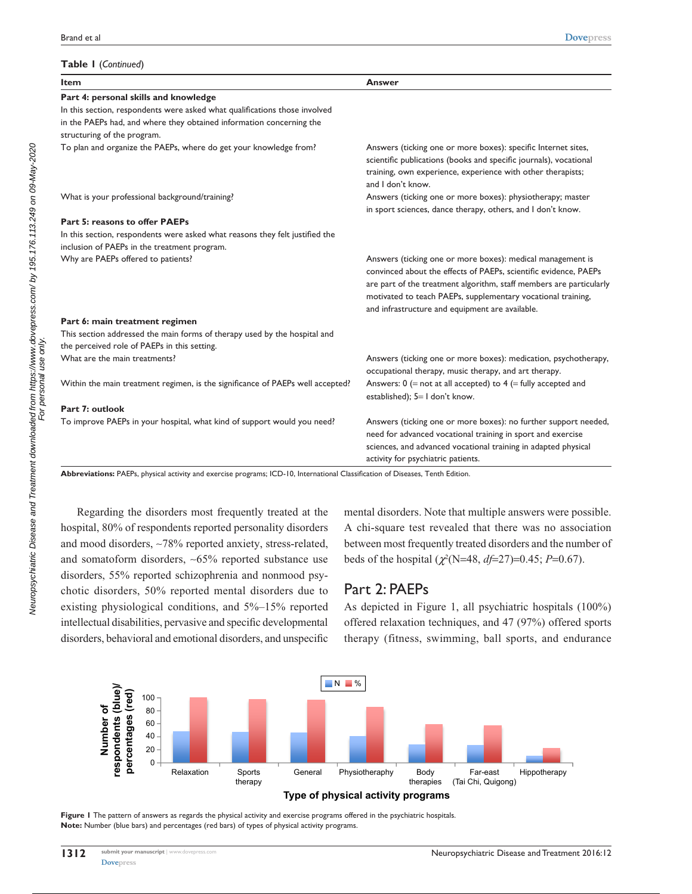#### **Table 1** (*Continued*)

| Item                                                                           | <b>Answer</b>                                                                                                                                                                                                                                                                                                            |
|--------------------------------------------------------------------------------|--------------------------------------------------------------------------------------------------------------------------------------------------------------------------------------------------------------------------------------------------------------------------------------------------------------------------|
| Part 4: personal skills and knowledge                                          |                                                                                                                                                                                                                                                                                                                          |
| In this section, respondents were asked what qualifications those involved     |                                                                                                                                                                                                                                                                                                                          |
| in the PAEPs had, and where they obtained information concerning the           |                                                                                                                                                                                                                                                                                                                          |
| structuring of the program.                                                    |                                                                                                                                                                                                                                                                                                                          |
| To plan and organize the PAEPs, where do get your knowledge from?              | Answers (ticking one or more boxes): specific Internet sites,<br>scientific publications (books and specific journals), vocational<br>training, own experience, experience with other therapists;<br>and I don't know.                                                                                                   |
| What is your professional background/training?                                 | Answers (ticking one or more boxes): physiotherapy; master<br>in sport sciences, dance therapy, others, and I don't know.                                                                                                                                                                                                |
| Part 5: reasons to offer PAEPs                                                 |                                                                                                                                                                                                                                                                                                                          |
| In this section, respondents were asked what reasons they felt justified the   |                                                                                                                                                                                                                                                                                                                          |
| inclusion of PAEPs in the treatment program.                                   |                                                                                                                                                                                                                                                                                                                          |
| Why are PAEPs offered to patients?                                             | Answers (ticking one or more boxes): medical management is<br>convinced about the effects of PAEPs, scientific evidence, PAEPs<br>are part of the treatment algorithm, staff members are particularly<br>motivated to teach PAEPs, supplementary vocational training,<br>and infrastructure and equipment are available. |
| Part 6: main treatment regimen                                                 |                                                                                                                                                                                                                                                                                                                          |
| This section addressed the main forms of therapy used by the hospital and      |                                                                                                                                                                                                                                                                                                                          |
| the perceived role of PAEPs in this setting.                                   |                                                                                                                                                                                                                                                                                                                          |
| What are the main treatments?                                                  | Answers (ticking one or more boxes): medication, psychotherapy,<br>occupational therapy, music therapy, and art therapy.                                                                                                                                                                                                 |
| Within the main treatment regimen, is the significance of PAEPs well accepted? | Answers: $0$ (= not at all accepted) to 4 (= fully accepted and<br>established); 5= I don't know.                                                                                                                                                                                                                        |
| Part 7: outlook                                                                |                                                                                                                                                                                                                                                                                                                          |
| To improve PAEPs in your hospital, what kind of support would you need?        | Answers (ticking one or more boxes): no further support needed,<br>need for advanced vocational training in sport and exercise<br>sciences, and advanced vocational training in adapted physical<br>activity for psychiatric patients.                                                                                   |

**Abbreviations:** PAEPs, physical activity and exercise programs; ICD-10, International Classification of Diseases, Tenth Edition.

Regarding the disorders most frequently treated at the hospital, 80% of respondents reported personality disorders and mood disorders, ~78% reported anxiety, stress-related, and somatoform disorders, ~65% reported substance use disorders, 55% reported schizophrenia and nonmood psychotic disorders, 50% reported mental disorders due to existing physiological conditions, and 5%–15% reported intellectual disabilities, pervasive and specific developmental disorders, behavioral and emotional disorders, and unspecific

mental disorders. Note that multiple answers were possible. A chi-square test revealed that there was no association between most frequently treated disorders and the number of beds of the hospital (*χ*<sup>2</sup> (N=48, *df*=27)=0.45; *P*=0.67).

#### Part 2: PAEPs

As depicted in Figure 1, all psychiatric hospitals (100%) offered relaxation techniques, and 47 (97%) offered sports therapy (fitness, swimming, ball sports, and endurance



Figure 1 The pattern of answers as regards the physical activity and exercise programs offered in the psychiatric hospitals. **Note:** Number (blue bars) and percentages (red bars) of types of physical activity programs.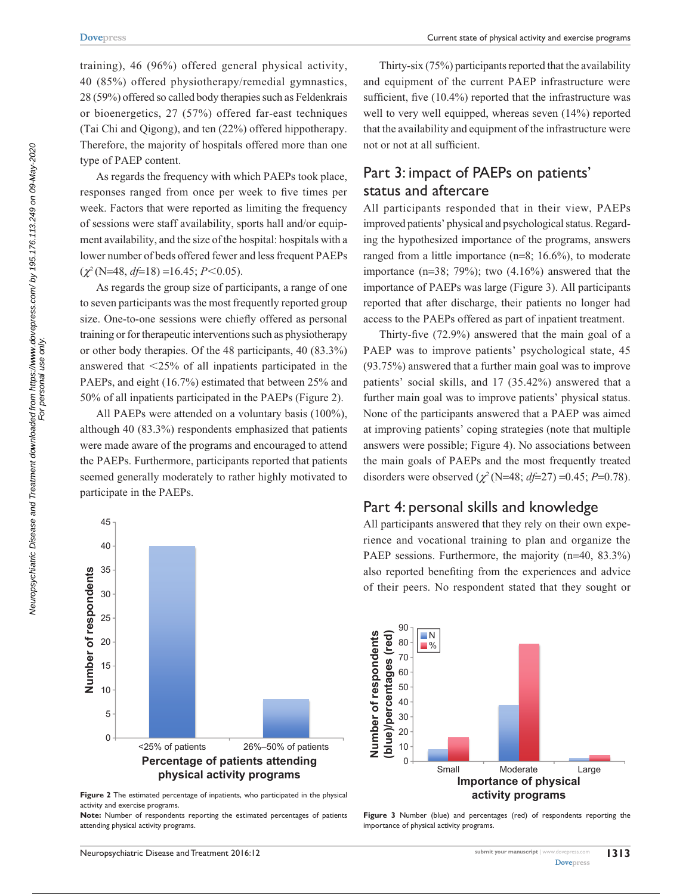training), 46 (96%) offered general physical activity, 40 (85%) offered physiotherapy/remedial gymnastics, 28 (59%) offered so called body therapies such as Feldenkrais or bioenergetics, 27 (57%) offered far-east techniques (Tai Chi and Qigong), and ten (22%) offered hippotherapy. Therefore, the majority of hospitals offered more than one type of PAEP content.

As regards the frequency with which PAEPs took place, responses ranged from once per week to five times per week. Factors that were reported as limiting the frequency of sessions were staff availability, sports hall and/or equipment availability, and the size of the hospital: hospitals with a lower number of beds offered fewer and less frequent PAEPs  $(\chi^2$  (N=48, *df*=18) =16.45; *P*<0.05).

As regards the group size of participants, a range of one to seven participants was the most frequently reported group size. One-to-one sessions were chiefly offered as personal training or for therapeutic interventions such as physiotherapy or other body therapies. Of the 48 participants, 40 (83.3%) answered that  $\langle 25\%$  of all inpatients participated in the PAEPs, and eight (16.7%) estimated that between 25% and 50% of all inpatients participated in the PAEPs (Figure 2).

All PAEPs were attended on a voluntary basis (100%), although 40 (83.3%) respondents emphasized that patients were made aware of the programs and encouraged to attend the PAEPs. Furthermore, participants reported that patients seemed generally moderately to rather highly motivated to participate in the PAEPs.



**Figure 2** The estimated percentage of inpatients, who participated in the physical activity and exercise programs.

**Note:** Number of respondents reporting the estimated percentages of patients attending physical activity programs.

Thirty-six (75%) participants reported that the availability and equipment of the current PAEP infrastructure were sufficient, five (10.4%) reported that the infrastructure was well to very well equipped, whereas seven (14%) reported that the availability and equipment of the infrastructure were not or not at all sufficient.

# Part 3: impact of PAEPs on patients' status and aftercare

All participants responded that in their view, PAEPs improved patients' physical and psychological status. Regarding the hypothesized importance of the programs, answers ranged from a little importance (n=8; 16.6%), to moderate importance  $(n=38; 79%)$ ; two  $(4.16%)$  answered that the importance of PAEPs was large (Figure 3). All participants reported that after discharge, their patients no longer had access to the PAEPs offered as part of inpatient treatment.

Thirty-five (72.9%) answered that the main goal of a PAEP was to improve patients' psychological state, 45 (93.75%) answered that a further main goal was to improve patients' social skills, and 17 (35.42%) answered that a further main goal was to improve patients' physical status. None of the participants answered that a PAEP was aimed at improving patients' coping strategies (note that multiple answers were possible; Figure 4). No associations between the main goals of PAEPs and the most frequently treated disorders were observed  $(\chi^2(N=48; df=27) = 0.45; P=0.78)$ .

#### Part 4: personal skills and knowledge

All participants answered that they rely on their own experience and vocational training to plan and organize the PAEP sessions. Furthermore, the majority (n=40, 83.3%) also reported benefiting from the experiences and advice of their peers. No respondent stated that they sought or



**Figure 3** Number (blue) and percentages (red) of respondents reporting the importance of physical activity programs.

For personal use only.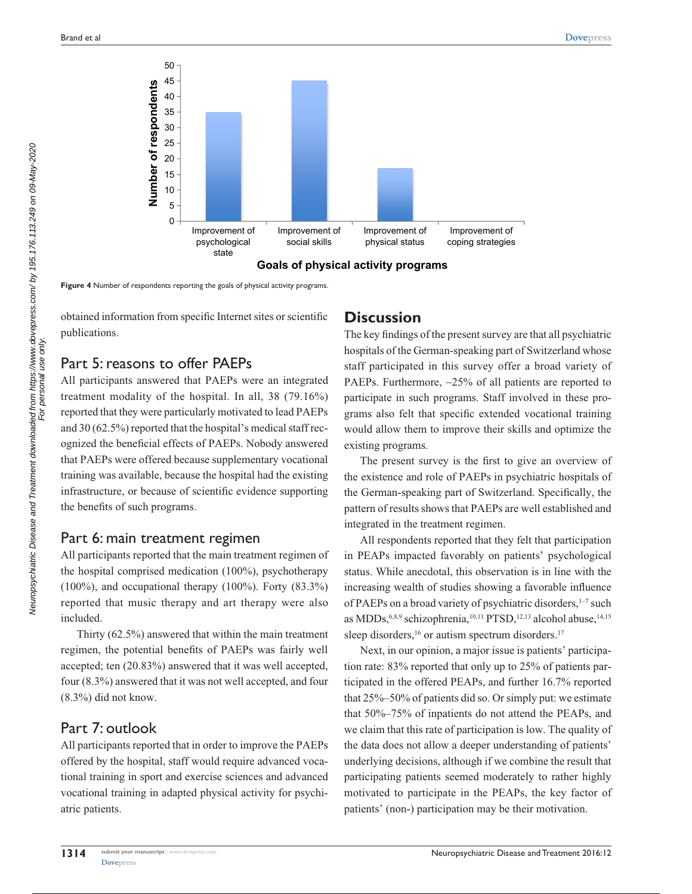

**Goals of physical activity programs** 

**Figure 4** Number of respondents reporting the goals of physical activity programs.

obtained information from specific Internet sites or scientific publications.

# Part 5: reasons to offer PAEPs

All participants answered that PAEPs were an integrated treatment modality of the hospital. In all, 38 (79.16%) reported that they were particularly motivated to lead PAEPs and 30 (62.5%) reported that the hospital's medical staff recognized the beneficial effects of PAEPs. Nobody answered that PAEPs were offered because supplementary vocational training was available, because the hospital had the existing infrastructure, or because of scientific evidence supporting the benefits of such programs.

#### Part 6: main treatment regimen

All participants reported that the main treatment regimen of the hospital comprised medication (100%), psychotherapy (100%), and occupational therapy (100%). Forty (83.3%) reported that music therapy and art therapy were also included.

Thirty (62.5%) answered that within the main treatment regimen, the potential benefits of PAEPs was fairly well accepted; ten (20.83%) answered that it was well accepted, four (8.3%) answered that it was not well accepted, and four (8.3%) did not know.

# Part 7: outlook

All participants reported that in order to improve the PAEPs offered by the hospital, staff would require advanced vocational training in sport and exercise sciences and advanced vocational training in adapted physical activity for psychiatric patients.

#### **Discussion**

The key findings of the present survey are that all psychiatric hospitals of the German-speaking part of Switzerland whose staff participated in this survey offer a broad variety of PAEPs. Furthermore,  $\sim$ 25% of all patients are reported to participate in such programs. Staff involved in these programs also felt that specific extended vocational training would allow them to improve their skills and optimize the existing programs.

The present survey is the first to give an overview of the existence and role of PAEPs in psychiatric hospitals of the German-speaking part of Switzerland. Specifically, the pattern of results shows that PAEPs are well established and integrated in the treatment regimen.

All respondents reported that they felt that participation in PEAPs impacted favorably on patients' psychological status. While anecdotal, this observation is in line with the increasing wealth of studies showing a favorable influence of PAEPs on a broad variety of psychiatric disorders, $1-7$  such as MDDs,<sup>6,8,9</sup> schizophrenia,<sup>10,11</sup> PTSD,<sup>12,13</sup> alcohol abuse,<sup>14,15</sup> sleep disorders,<sup>16</sup> or autism spectrum disorders.<sup>17</sup>

Next, in our opinion, a major issue is patients' participation rate: 83% reported that only up to 25% of patients participated in the offered PEAPs, and further 16.7% reported that 25%–50% of patients did so. Or simply put: we estimate that 50%–75% of inpatients do not attend the PEAPs, and we claim that this rate of participation is low. The quality of the data does not allow a deeper understanding of patients' underlying decisions, although if we combine the result that participating patients seemed moderately to rather highly motivated to participate in the PEAPs, the key factor of patients' (non-) participation may be their motivation.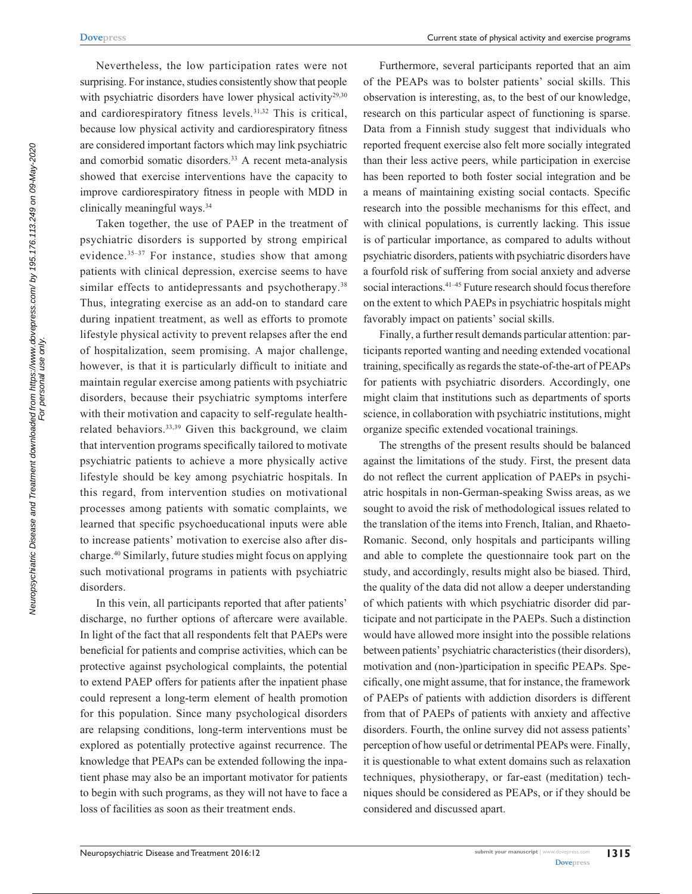Nevertheless, the low participation rates were not surprising. For instance, studies consistently show that people with psychiatric disorders have lower physical activity $29,30$ and cardiorespiratory fitness levels.<sup>31,32</sup> This is critical, because low physical activity and cardiorespiratory fitness are considered important factors which may link psychiatric and comorbid somatic disorders.<sup>33</sup> A recent meta-analysis showed that exercise interventions have the capacity to improve cardiorespiratory fitness in people with MDD in clinically meaningful ways.34

Taken together, the use of PAEP in the treatment of psychiatric disorders is supported by strong empirical evidence.<sup>35-37</sup> For instance, studies show that among patients with clinical depression, exercise seems to have similar effects to antidepressants and psychotherapy.<sup>38</sup> Thus, integrating exercise as an add-on to standard care during inpatient treatment, as well as efforts to promote lifestyle physical activity to prevent relapses after the end of hospitalization, seem promising. A major challenge, however, is that it is particularly difficult to initiate and maintain regular exercise among patients with psychiatric disorders, because their psychiatric symptoms interfere with their motivation and capacity to self-regulate healthrelated behaviors.<sup>33,39</sup> Given this background, we claim that intervention programs specifically tailored to motivate psychiatric patients to achieve a more physically active lifestyle should be key among psychiatric hospitals. In this regard, from intervention studies on motivational processes among patients with somatic complaints, we learned that specific psychoeducational inputs were able to increase patients' motivation to exercise also after discharge.40 Similarly, future studies might focus on applying such motivational programs in patients with psychiatric disorders.

In this vein, all participants reported that after patients' discharge, no further options of aftercare were available. In light of the fact that all respondents felt that PAEPs were beneficial for patients and comprise activities, which can be protective against psychological complaints, the potential to extend PAEP offers for patients after the inpatient phase could represent a long-term element of health promotion for this population. Since many psychological disorders are relapsing conditions, long-term interventions must be explored as potentially protective against recurrence. The knowledge that PEAPs can be extended following the inpatient phase may also be an important motivator for patients to begin with such programs, as they will not have to face a loss of facilities as soon as their treatment ends.

Furthermore, several participants reported that an aim of the PEAPs was to bolster patients' social skills. This observation is interesting, as, to the best of our knowledge, research on this particular aspect of functioning is sparse. Data from a Finnish study suggest that individuals who reported frequent exercise also felt more socially integrated than their less active peers, while participation in exercise has been reported to both foster social integration and be a means of maintaining existing social contacts. Specific research into the possible mechanisms for this effect, and with clinical populations, is currently lacking. This issue is of particular importance, as compared to adults without psychiatric disorders, patients with psychiatric disorders have a fourfold risk of suffering from social anxiety and adverse social interactions.<sup>41-45</sup> Future research should focus therefore on the extent to which PAEPs in psychiatric hospitals might favorably impact on patients' social skills.

Finally, a further result demands particular attention: participants reported wanting and needing extended vocational training, specifically as regards the state-of-the-art of PEAPs for patients with psychiatric disorders. Accordingly, one might claim that institutions such as departments of sports science, in collaboration with psychiatric institutions, might organize specific extended vocational trainings.

The strengths of the present results should be balanced against the limitations of the study. First, the present data do not reflect the current application of PAEPs in psychiatric hospitals in non-German-speaking Swiss areas, as we sought to avoid the risk of methodological issues related to the translation of the items into French, Italian, and Rhaeto-Romanic. Second, only hospitals and participants willing and able to complete the questionnaire took part on the study, and accordingly, results might also be biased. Third, the quality of the data did not allow a deeper understanding of which patients with which psychiatric disorder did participate and not participate in the PAEPs. Such a distinction would have allowed more insight into the possible relations between patients' psychiatric characteristics (their disorders), motivation and (non-)participation in specific PEAPs. Specifically, one might assume, that for instance, the framework of PAEPs of patients with addiction disorders is different from that of PAEPs of patients with anxiety and affective disorders. Fourth, the online survey did not assess patients' perception of how useful or detrimental PEAPs were. Finally, it is questionable to what extent domains such as relaxation techniques, physiotherapy, or far-east (meditation) techniques should be considered as PEAPs, or if they should be considered and discussed apart.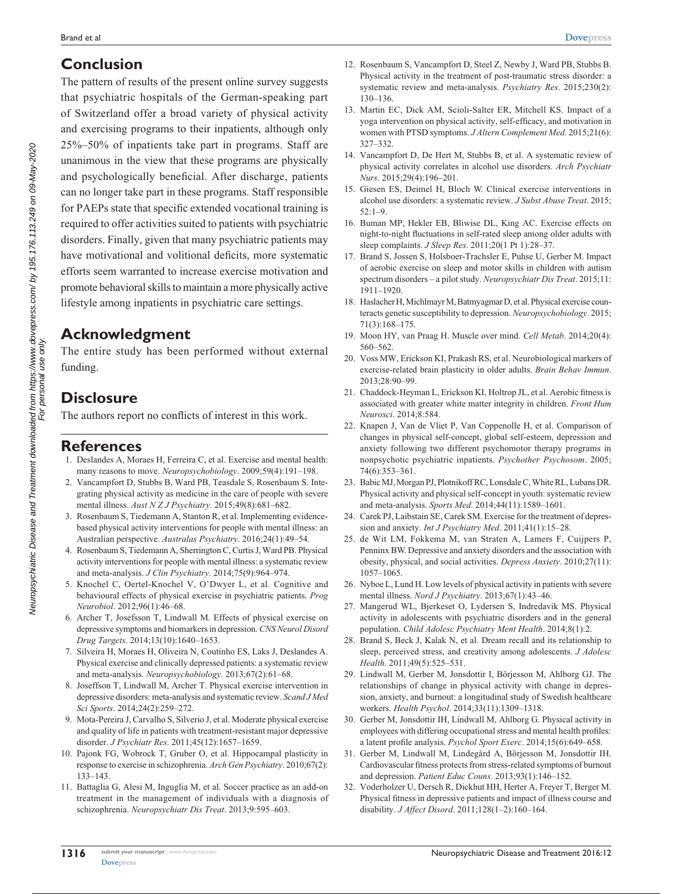# **Conclusion**

The pattern of results of the present online survey suggests that psychiatric hospitals of the German-speaking part of Switzerland offer a broad variety of physical activity and exercising programs to their inpatients, although only 25%–50% of inpatients take part in programs. Staff are unanimous in the view that these programs are physically and psychologically beneficial. After discharge, patients can no longer take part in these programs. Staff responsible for PAEPs state that specific extended vocational training is required to offer activities suited to patients with psychiatric disorders. Finally, given that many psychiatric patients may have motivational and volitional deficits, more systematic efforts seem warranted to increase exercise motivation and promote behavioral skills to maintain a more physically active lifestyle among inpatients in psychiatric care settings.

### **Acknowledgment**

The entire study has been performed without external funding.

# **Disclosure**

The authors report no conflicts of interest in this work.

#### **References**

- 1. Deslandes A, Moraes H, Ferreira C, et al. Exercise and mental health: many reasons to move. *Neuropsychobiology*. 2009;59(4):191–198.
- 2. Vancampfort D, Stubbs B, Ward PB, Teasdale S, Rosenbaum S. Integrating physical activity as medicine in the care of people with severe mental illness. *Aust N Z J Psychiatry*. 2015;49(8):681–682.
- 3. Rosenbaum S, Tiedemann A, Stanton R, et al. Implementing evidencebased physical activity interventions for people with mental illness: an Australian perspective. *Australas Psychiatry*. 2016;24(1):49–54.
- 4. Rosenbaum S, Tiedemann A, Sherrington C, Curtis J, Ward PB. Physical activity interventions for people with mental illness: a systematic review and meta-analysis. *J Clin Psychiatry*. 2014;75(9):964–974.
- 5. Knochel C, Oertel-Knochel V, O'Dwyer L, et al. Cognitive and behavioural effects of physical exercise in psychiatric patients. *Prog Neurobiol*. 2012;96(1):46–68.
- 6. Archer T, Josefsson T, Lindwall M. Effects of physical exercise on depressive symptoms and biomarkers in depression. *CNS Neurol Disord Drug Targets*. 2014;13(10):1640–1653.
- 7. Silveira H, Moraes H, Oliveira N, Coutinho ES, Laks J, Deslandes A. Physical exercise and clinically depressed patients: a systematic review and meta-analysis. *Neuropsychobiology*. 2013;67(2):61–68.
- 8. Joseffson T, Lindwall M, Archer T. Physical exercise intervention in depressive disorders: meta-analysis and systematic review. *Scand J Med Sci Sports*. 2014;24(2):259–272.
- 9. Mota-Pereira J, Carvalho S, Silverio J, et al. Moderate physical exercise and quality of life in patients with treatment-resistant major depressive disorder. *J Psychiatr Res*. 2011;45(12):1657–1659.
- 10. Pajonk FG, Wobrock T, Gruber O, et al. Hippocampal plasticity in response to exercise in schizophrenia. *Arch Gen Psychiatry*. 2010;67(2): 133–143.
- 11. Battaglia G, Alesi M, Inguglia M, et al. Soccer practice as an add-on treatment in the management of individuals with a diagnosis of schizophrenia. *Neuropsychiatr Dis Treat*. 2013;9:595–603.
- 12. Rosenbaum S, Vancampfort D, Steel Z, Newby J, Ward PB, Stubbs B. Physical activity in the treatment of post-traumatic stress disorder: a systematic review and meta-analysis. *Psychiatry Res*. 2015;230(2): 130–136.
- 13. Martin EC, Dick AM, Scioli-Salter ER, Mitchell KS. Impact of a yoga intervention on physical activity, self-efficacy, and motivation in women with PTSD symptoms. *J Altern Complement Med*. 2015;21(6): 327–332.
- 14. Vancampfort D, De Hert M, Stubbs B, et al. A systematic review of physical activity correlates in alcohol use disorders. *Arch Psychiatr Nurs*. 2015;29(4):196–201.
- 15. Giesen ES, Deimel H, Bloch W. Clinical exercise interventions in alcohol use disorders: a systematic review. *J Subst Abuse Treat*. 2015; 52:1–9.
- 16. Buman MP, Hekler EB, Bliwise DL, King AC. Exercise effects on night-to-night fluctuations in self-rated sleep among older adults with sleep complaints. *J Sleep Res*. 2011;20(1 Pt 1):28–37.
- 17. Brand S, Jossen S, Holsboer-Trachsler E, Puhse U, Gerber M. Impact of aerobic exercise on sleep and motor skills in children with autism spectrum disorders – a pilot study. *Neuropsychiatr Dis Treat*. 2015;11: 1911–1920.
- 18. Haslacher H, Michlmayr M, Batmyagmar D, et al. Physical exercise counteracts genetic susceptibility to depression. *Neuropsychobiology*. 2015; 71(3):168–175.
- 19. Moon HY, van Praag H. Muscle over mind. *Cell Metab*. 2014;20(4): 560–562.
- 20. Voss MW, Erickson KI, Prakash RS, et al. Neurobiological markers of exercise-related brain plasticity in older adults. *Brain Behav Immun*. 2013;28:90–99.
- 21. Chaddock-Heyman L, Erickson KI, Holtrop JL, et al. Aerobic fitness is associated with greater white matter integrity in children. *Front Hum Neurosci*. 2014;8:584.
- 22. Knapen J, Van de Vliet P, Van Coppenolle H, et al. Comparison of changes in physical self-concept, global self-esteem, depression and anxiety following two different psychomotor therapy programs in nonpsychotic psychiatric inpatients. *Psychother Psychosom*. 2005; 74(6):353–361.
- 23. Babic MJ, Morgan PJ, Plotnikoff RC, Lonsdale C, White RL, Lubans DR. Physical activity and physical self-concept in youth: systematic review and meta-analysis. *Sports Med*. 2014;44(11):1589–1601.
- 24. Carek PJ, Laibstain SE, Carek SM. Exercise for the treatment of depression and anxiety. *Int J Psychiatry Med*. 2011;41(1):15–28.
- 25. de Wit LM, Fokkema M, van Straten A, Lamers F, Cuijpers P, Penninx BW. Depressive and anxiety disorders and the association with obesity, physical, and social activities. *Depress Anxiety*. 2010;27(11): 1057–1065.
- 26. Nyboe L, Lund H. Low levels of physical activity in patients with severe mental illness. *Nord J Psychiatry*. 2013;67(1):43–46.
- 27. Mangerud WL, Bjerkeset O, Lydersen S, Indredavik MS. Physical activity in adolescents with psychiatric disorders and in the general population. *Child Adolesc Psychiatry Ment Health*. 2014;8(1):2.
- 28. Brand S, Beck J, Kalak N, et al. Dream recall and its relationship to sleep, perceived stress, and creativity among adolescents. *J Adolesc Health*. 2011;49(5):525–531.
- 29. Lindwall M, Gerber M, Jonsdottir I, Börjesson M, Ahlborg GJ. The relationships of change in physical activity with change in depression, anxiety, and burnout: a longitudinal study of Swedish healthcare workers. *Health Psychol*. 2014;33(11):1309–1318.
- 30. Gerber M, Jonsdottir IH, Lindwall M, Ahlborg G. Physical activity in employees with differing occupational stress and mental health profiles: a latent profile analysis. *Psychol Sport Exerc*. 2014;15(6):649–658.
- 31. Gerber M, Lindwall M, Lindegård A, Börjesson M, Jonsdottir IH. Cardiovascular fitness protects from stress-related symptoms of burnout and depression. *Patient Educ Couns*. 2013;93(1):146–152.
- 32. Voderholzer U, Dersch R, Dickhut HH, Herter A, Freyer T, Berger M. Physical fitness in depressive patients and impact of illness course and disability. *J Affect Disord*. 2011;128(1–2):160–164.